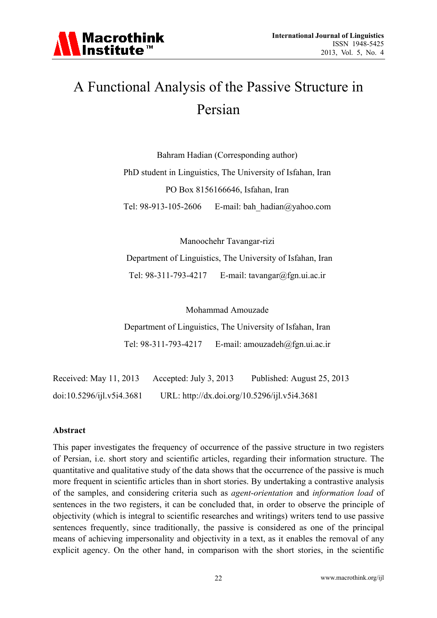

# A Functional Analysis of the Passive Structure in Persian

Bahram Hadian (Corresponding author) PhD student in Linguistics, The University of Isfahan, Iran PO Box 8156166646, Isfahan, Iran Tel: 98-913-105-2606 E-mail: bah\_hadian@yahoo.com

Manoochehr Tavangar-rizi Department of Linguistics, The University of Isfahan, Iran Tel: 98-311-793-4217 E-mail: tavangar@fgn.ui.ac.ir

Mohammad Amouzade

Department of Linguistics, The University of Isfahan, Iran Tel: 98-311-793-4217 E-mail: amouzadeh@fgn.ui.ac.ir

Received: May 11, 2013 Accepted: July 3, 2013 Published: August 25, 2013 doi:10.5296/ijl.v5i4.3681 URL: http://dx.doi.org/10.5296/ijl.v5i4.3681

#### **Abstract**

This paper investigates the frequency of occurrence of the passive structure in two registers of Persian, i.e. short story and scientific articles, regarding their information structure. The quantitative and qualitative study of the data shows that the occurrence of the passive is much more frequent in scientific articles than in short stories. By undertaking a contrastive analysis of the samples, and considering criteria such as *agent-orientation* and *information load* of sentences in the two registers, it can be concluded that, in order to observe the principle of objectivity (which is integral to scientific researches and writings) writers tend to use passive sentences frequently, since traditionally, the passive is considered as one of the principal means of achieving impersonality and objectivity in a text, as it enables the removal of any explicit agency. On the other hand, in comparison with the short stories, in the scientific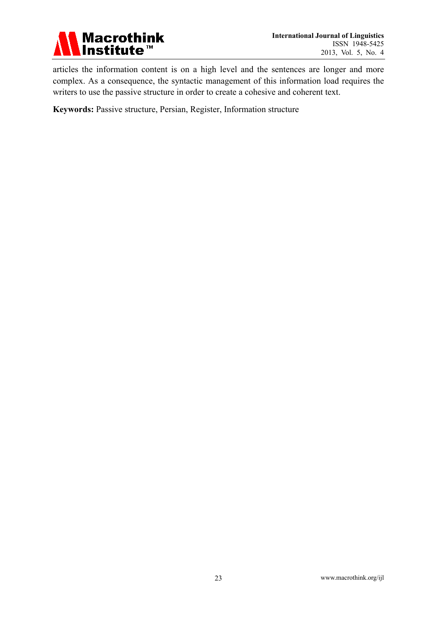

articles the information content is on a high level and the sentences are longer and more complex. As a consequence, the syntactic management of this information load requires the writers to use the passive structure in order to create a cohesive and coherent text.

**Keywords:** Passive structure, Persian, Register, Information structure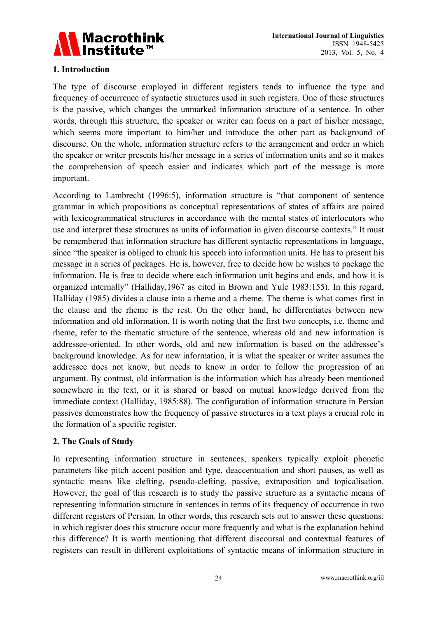

## **1. Introduction**

The type of discourse employed in different registers tends to influence the type and frequency of occurrence of syntactic structures used in such registers. One of these structures is the passive, which changes the unmarked information structure of a sentence. In other words, through this structure, the speaker or writer can focus on a part of his/her message, which seems more important to him/her and introduce the other part as background of discourse. On the whole, information structure refers to the arrangement and order in which the speaker or writer presents his/her message in a series of information units and so it makes the comprehension of speech easier and indicates which part of the message is more important.

According to Lambrecht (1996:5), information structure is "that component of sentence grammar in which propositions as conceptual representations of states of affairs are paired with lexicogrammatical structures in accordance with the mental states of interlocutors who use and interpret these structures as units of information in given discourse contexts." It must be remembered that information structure has different syntactic representations in language, since "the speaker is obliged to chunk his speech into information units. He has to present his message in a series of packages. He is, however, free to decide how he wishes to package the information. He is free to decide where each information unit begins and ends, and how it is organized internally" (Halliday,1967 as cited in Brown and Yule 1983:155). In this regard, Halliday (1985) divides a clause into a theme and a rheme. The theme is what comes first in the clause and the rheme is the rest. On the other hand, he differentiates between new information and old information. It is worth noting that the first two concepts, i.e. theme and rheme, refer to the thematic structure of the sentence, whereas old and new information is addressee-oriented. In other words, old and new information is based on the addressee's background knowledge. As for new information, it is what the speaker or writer assumes the addressee does not know, but needs to know in order to follow the progression of an argument. By contrast, old information is the information which has already been mentioned somewhere in the text, or it is shared or based on mutual knowledge derived from the immediate context (Halliday, 1985:88). The configuration of information structure in Persian passives demonstrates how the frequency of passive structures in a text plays a crucial role in the formation of a specific register.

## **2. The Goals of Study**

In representing information structure in sentences, speakers typically exploit phonetic parameters like pitch accent position and type, deaccentuation and short pauses, as well as syntactic means like clefting, pseudo-clefting, passive, extraposition and topicalisation. However, the goal of this research is to study the passive structure as a syntactic means of representing information structure in sentences in terms of its frequency of occurrence in two different registers of Persian. In other words, this research sets out to answer these questions: in which register does this structure occur more frequently and what is the explanation behind this difference? It is worth mentioning that different discoursal and contextual features of registers can result in different exploitations of syntactic means of information structure in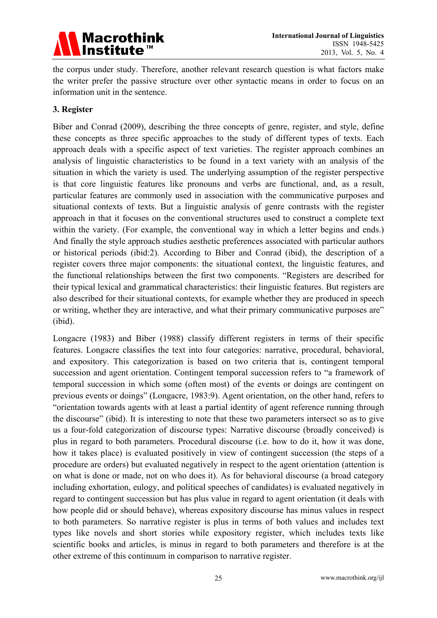

the corpus under study. Therefore, another relevant research question is what factors make the writer prefer the passive structure over other syntactic means in order to focus on an information unit in the sentence.

## **3. Register**

Biber and Conrad (2009), describing the three concepts of genre, register, and style, define these concepts as three specific approaches to the study of different types of texts. Each approach deals with a specific aspect of text varieties. The register approach combines an analysis of linguistic characteristics to be found in a text variety with an analysis of the situation in which the variety is used. The underlying assumption of the register perspective is that core linguistic features like pronouns and verbs are functional, and, as a result, particular features are commonly used in association with the communicative purposes and situational contexts of texts. But a linguistic analysis of genre contrasts with the register approach in that it focuses on the conventional structures used to construct a complete text within the variety. (For example, the conventional way in which a letter begins and ends.) And finally the style approach studies aesthetic preferences associated with particular authors or historical periods (ibid:2). According to Biber and Conrad (ibid), the description of a register covers three major components: the situational context, the linguistic features, and the functional relationships between the first two components. "Registers are described for their typical lexical and grammatical characteristics: their linguistic features. But registers are also described for their situational contexts, for example whether they are produced in speech or writing, whether they are interactive, and what their primary communicative purposes are" (ibid).

Longacre (1983) and Biber (1988) classify different registers in terms of their specific features. Longacre classifies the text into four categories: narrative, procedural, behavioral, and expository. This categorization is based on two criteria that is, contingent temporal succession and agent orientation. Contingent temporal succession refers to "a framework of temporal succession in which some (often most) of the events or doings are contingent on previous events or doings" (Longacre, 1983:9). Agent orientation, on the other hand, refers to "orientation towards agents with at least a partial identity of agent reference running through the discourse" (ibid). It is interesting to note that these two parameters intersect so as to give us a four-fold categorization of discourse types: Narrative discourse (broadly conceived) is plus in regard to both parameters. Procedural discourse (i.e. how to do it, how it was done, how it takes place) is evaluated positively in view of contingent succession (the steps of a procedure are orders) but evaluated negatively in respect to the agent orientation (attention is on what is done or made, not on who does it). As for behavioral discourse (a broad category including exhortation, eulogy, and political speeches of candidates) is evaluated negatively in regard to contingent succession but has plus value in regard to agent orientation (it deals with how people did or should behave), whereas expository discourse has minus values in respect to both parameters. So narrative register is plus in terms of both values and includes text types like novels and short stories while expository register, which includes texts like scientific books and articles, is minus in regard to both parameters and therefore is at the other extreme of this continuum in comparison to narrative register.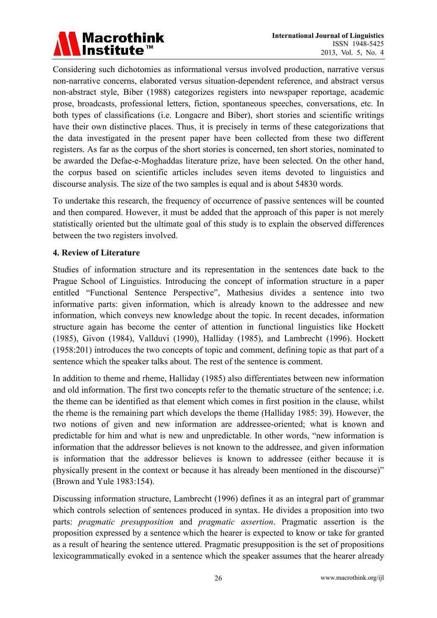

Considering such dichotomies as informational versus involved production, narrative versus non-narrative concerns, elaborated versus situation-dependent reference, and abstract versus non-abstract style, Biber (1988) categorizes registers into newspaper reportage, academic prose, broadcasts, professional letters, fiction, spontaneous speeches, conversations, etc. In both types of classifications (i.e. Longacre and Biber), short stories and scientific writings have their own distinctive places. Thus, it is precisely in terms of these categorizations that the data investigated in the present paper have been collected from these two different registers. As far as the corpus of the short stories is concerned, ten short stories, nominated to be awarded the Defae-e-Moghaddas literature prize, have been selected. On the other hand, the corpus based on scientific articles includes seven items devoted to linguistics and discourse analysis. The size of the two samples is equal and is about 54830 words.

To undertake this research, the frequency of occurrence of passive sentences will be counted and then compared. However, it must be added that the approach of this paper is not merely statistically oriented but the ultimate goal of this study is to explain the observed differences between the two registers involved.

#### **4. Review of Literature**

Studies of information structure and its representation in the sentences date back to the Prague School of Linguistics. Introducing the concept of information structure in a paper entitled "Functional Sentence Perspective", Mathesius divides a sentence into two informative parts: given information, which is already known to the addressee and new information, which conveys new knowledge about the topic. In recent decades, information structure again has become the center of attention in functional linguistics like Hockett (1985), Givon (1984), Vallduvi (1990), Halliday (1985), and Lambrecht (1996). Hockett (1958:201) introduces the two concepts of topic and comment, defining topic as that part of a sentence which the speaker talks about. The rest of the sentence is comment.

In addition to theme and rheme, Halliday (1985) also differentiates between new information and old information. The first two concepts refer to the thematic structure of the sentence; i.e. the theme can be identified as that element which comes in first position in the clause, whilst the rheme is the remaining part which develops the theme (Halliday 1985: 39). However, the two notions of given and new information are addressee-oriented; what is known and predictable for him and what is new and unpredictable. In other words, "new information is information that the addressor believes is not known to the addressee, and given information is information that the addressor believes is known to addressee (either because it is physically present in the context or because it has already been mentioned in the discourse)" (Brown and Yule 1983:154).

Discussing information structure, Lambrecht (1996) defines it as an integral part of grammar which controls selection of sentences produced in syntax. He divides a proposition into two parts: *pragmatic presupposition* and *pragmatic assertion*. Pragmatic assertion is the proposition expressed by a sentence which the hearer is expected to know or take for granted as a result of hearing the sentence uttered. Pragmatic presupposition is the set of propositions lexicogrammatically evoked in a sentence which the speaker assumes that the hearer already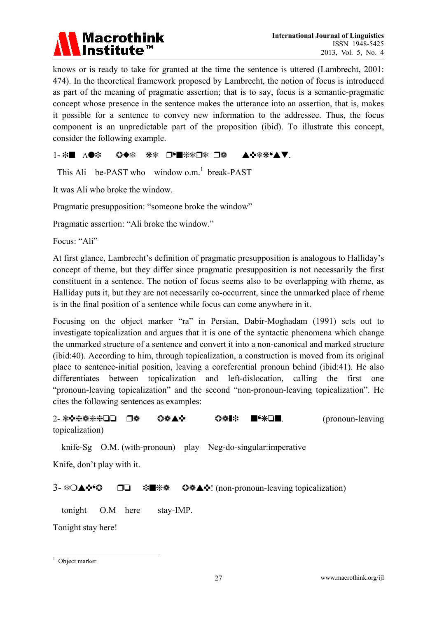

knows or is ready to take for granted at the time the sentence is uttered (Lambrecht, 2001: 474). In the theoretical framework proposed by Lambrecht, the notion of focus is introduced as part of the meaning of pragmatic assertion; that is to say, focus is a semantic-pragmatic concept whose presence in the sentence makes the utterance into an assertion, that is, makes it possible for a sentence to convey new information to the addressee. Thus, the focus component is an unpredictable part of the proposition (ibid). To illustrate this concept, consider the following example.

 $1-$ \*■ A●\* ◎◆\* \*\* 口●■\*\*□\* 口● ▲◆\*\*•▲▼

This Ali be-PAST who window  $o.m.^1$  break-PAST

It was Ali who broke the window.

Pragmatic presupposition: "someone broke the window"

Pragmatic assertion: "Ali broke the window."

Focus: "Ali"

At first glance, Lambrecht's definition of pragmatic presupposition is analogous to Halliday's concept of theme, but they differ since pragmatic presupposition is not necessarily the first constituent in a sentence. The notion of focus seems also to be overlapping with rheme, as Halliday puts it, but they are not necessarily co-occurrent, since the unmarked place of rheme is in the final position of a sentence while focus can come anywhere in it.

Focusing on the object marker "ra" in Persian, Dabir-Moghadam (1991) sets out to investigate topicalization and argues that it is one of the syntactic phenomena which change the unmarked structure of a sentence and convert it into a non-canonical and marked structure (ibid:40). According to him, through topicalization, a construction is moved from its original place to sentence-initial position, leaving a coreferential pronoun behind (ibid:41). He also differentiates between topicalization and left-dislocation, calling the first one "pronoun-leaving topicalization" and the second "non-pronoun-leaving topicalization". He cites the following sentences as examples:

2-. (pronoun-leaving topicalization)

knife-Sg O.M. (with-pronoun) play Neg-do-singular:imperative

Knife, don't play with it.

3-  $\odot$   $\blacktriangle \rightarrow \odot$   $\Box$   $\rightarrow \blacksquare \rightarrow \clubsuit \clubsuit$   $\odot \bullet \blacktriangle \rightarrow$ ! (non-pronoun-leaving topicalization)

tonight O.M here stay-IMP.

Tonight stay here!

 $\frac{1}{1}$  Object marker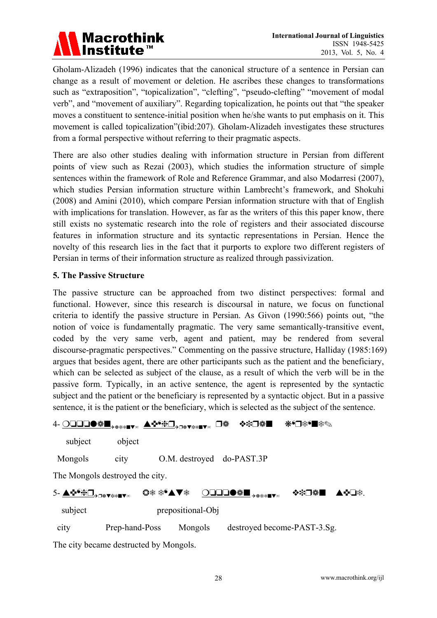

Gholam-Alizadeh (1996) indicates that the canonical structure of a sentence in Persian can change as a result of movement or deletion. He ascribes these changes to transformations such as "extraposition", "topicalization", "clefting", "pseudo-clefting" "movement of modal verb", and "movement of auxiliary". Regarding topicalization, he points out that "the speaker moves a constituent to sentence-initial position when he/she wants to put emphasis on it. This movement is called topicalization"(ibid:207). Gholam-Alizadeh investigates these structures from a formal perspective without referring to their pragmatic aspects.

There are also other studies dealing with information structure in Persian from different points of view such as Rezai (2003), which studies the information structure of simple sentences within the framework of Role and Reference Grammar, and also Modarresi (2007), which studies Persian information structure within Lambrecht's framework, and Shokuhi (2008) and Amini (2010), which compare Persian information structure with that of English with implications for translation. However, as far as the writers of this this paper know, there still exists no systematic research into the role of registers and their associated discourse features in information structure and its syntactic representations in Persian. Hence the novelty of this research lies in the fact that it purports to explore two different registers of Persian in terms of their information structure as realized through passivization.

## **5. The Passive Structure**

The passive structure can be approached from two distinct perspectives: formal and functional. However, since this research is discoursal in nature, we focus on functional criteria to identify the passive structure in Persian. As Givon (1990:566) points out, "the notion of voice is fundamentally pragmatic. The very same semantically-transitive event, coded by the very same verb, agent and patient, may be rendered from several discourse-pragmatic perspectives." Commenting on the passive structure, Halliday (1985:169) argues that besides agent, there are other participants such as the patient and the beneficiary, which can be selected as subject of the clause, as a result of which the verb will be in the passive form. Typically, in an active sentence, the agent is represented by the syntactic subject and the patient or the beneficiary is represented by a syntactic object. But in a passive sentence, it is the patient or the beneficiary, which is selected as the subject of the sentence.

4- <u>○□□□●</u>●■<sub>→●\*\*■▼≈ ▲<u>❖"米□<sub>→□●▼\*\*■▼≈</u> □● ◆\*□●■ \*●□※●■※◎</sub></u></sub>

subject object

Mongols city O.M. destroyed do-PAST.3P

The Mongols destroyed the city.

5- ▲❖<sup>6</sup>米□<sub>▲□◎▼※≋■▼≈ ◎※ ※<sup>6</sup>▲▼※ <u>○□□□●◎■ <sub>→◎※◎■</sub>▼≈</u> ❖※□◎■ ▲◆□※.</sub>

subject prepositional-Obj

city Prep-hand-Poss Mongols destroyed become-PAST-3.Sg.

The city became destructed by Mongols.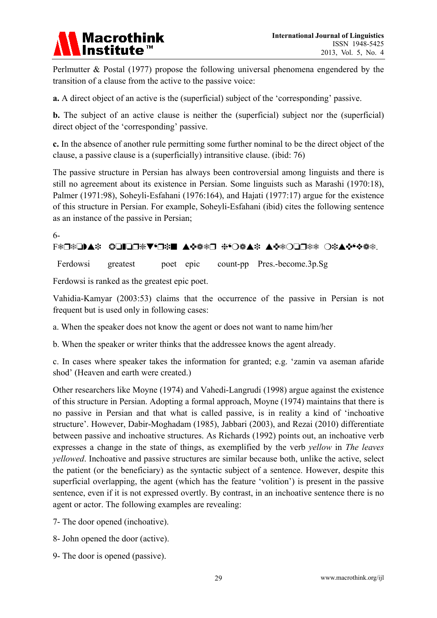

Perlmutter & Postal (1977) propose the following universal phenomena engendered by the transition of a clause from the active to the passive voice:

**a.** A direct object of an active is the (superficial) subject of the 'corresponding' passive.

**b.** The subject of an active clause is neither the (superficial) subject nor the (superficial) direct object of the 'corresponding' passive.

**c.** In the absence of another rule permitting some further nominal to be the direct object of the clause, a passive clause is a (superficially) intransitive clause. (ibid: 76)

The passive structure in Persian has always been controversial among linguists and there is still no agreement about its existence in Persian. Some linguists such as Marashi (1970:18), Palmer (1971:98), Soheyli-Esfahani (1976:164), and Hajati (1977:17) argue for the existence of this structure in Persian. For example, Soheyli-Esfahani (ibid) cites the following sentence as an instance of the passive in Persian;

6-

F\*П\*П▶▲\* ©ППП米▼°П\*■ ▲◆●\*П 米℃®▲\* ▲◆\*ОПП\*\* О\*▲◆◆◆●\*

Ferdowsi greatest poet epic count-pp Pres.-become.3p.Sg

Ferdowsi is ranked as the greatest epic poet.

Vahidia-Kamyar (2003:53) claims that the occurrence of the passive in Persian is not frequent but is used only in following cases:

a. When the speaker does not know the agent or does not want to name him/her

b. When the speaker or writer thinks that the addressee knows the agent already.

c. In cases where speaker takes the information for granted; e.g. 'zamin va aseman afaride shod' (Heaven and earth were created.)

Other researchers like Moyne (1974) and Vahedi-Langrudi (1998) argue against the existence of this structure in Persian. Adopting a formal approach, Moyne (1974) maintains that there is no passive in Persian and that what is called passive, is in reality a kind of 'inchoative structure'. However, Dabir-Moghadam (1985), Jabbari (2003), and Rezai (2010) differentiate between passive and inchoative structures. As Richards (1992) points out, an inchoative verb expresses a change in the state of things, as exemplified by the verb *yellow* in *The leaves yellowed*. Inchoative and passive structures are similar because both, unlike the active, select the patient (or the beneficiary) as the syntactic subject of a sentence. However, despite this superficial overlapping, the agent (which has the feature 'volition') is present in the passive sentence, even if it is not expressed overtly. By contrast, in an inchoative sentence there is no agent or actor. The following examples are revealing:

7- The door opened (inchoative).

- 8- John opened the door (active).
- 9- The door is opened (passive).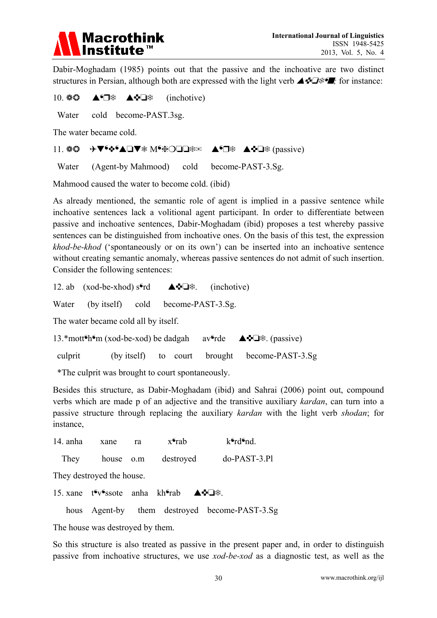

Dabir-Moghadam (1985) points out that the passive and the inchoative are two distinct structures in Persian, although both are expressed with the light verb  $\triangle \sqrt{\frac{1}{2}}$  for instance:

10.  $\bigcirc$   $\blacktriangle^{c}$   $\blacksquare$   $\blacktriangleright$   $\blacktriangle^{c}$   $\blacksquare$   $\blacktriangleright$   $\blacktriangleright$   $(i \text{ne} \text{circ})$ 

Water cold become-PAST.3sg.

The water became cold.

11. M (passive)

Water (Agent-by Mahmood) cold become-PAST-3.Sg.

Mahmood caused the water to become cold. (ibid)

As already mentioned, the semantic role of agent is implied in a passive sentence while inchoative sentences lack a volitional agent participant. In order to differentiate between passive and inchoative sentences, Dabir-Moghadam (ibid) proposes a test whereby passive sentences can be distinguished from inchoative ones. On the basis of this test, the expression *khod-be-khod* ('spontaneously or on its own') can be inserted into an inchoative sentence without creating semantic anomaly, whereas passive sentences do not admit of such insertion. Consider the following sentences:

12. ab (xod-be-xhod) s•rd  $\blacktriangle \blacktriangle \blacksquare$  : (inchotive)

Water (by itself) cold become-PAST-3.Sg.

The water became cold all by itself.

| 13.*mott <sup>•s</sup> h•m (xod-be-xod) be dadgah av•rde $\triangle \blacksquare \blacksquare$ *. (passive) |             |  |  |                                   |
|-------------------------------------------------------------------------------------------------------------|-------------|--|--|-----------------------------------|
| culprit                                                                                                     | (by itself) |  |  | to court brought become-PAST-3.Sg |

\*The culprit was brought to court spontaneously.

Besides this structure, as Dabir-Moghadam (ibid) and Sahrai (2006) point out, compound verbs which are made p of an adjective and the transitive auxiliary *kardan*, can turn into a passive structure through replacing the auxiliary *kardan* with the light verb *shodan*; for instance,

| $14.$ anha | xane      | ra | $x$ <sup><math>\epsilon</math></sup> rab | k•rd•nd.       |
|------------|-----------|----|------------------------------------------|----------------|
| They       | house o.m |    | destroyed                                | $do-PAST-3.P1$ |

They destroyed the house.

15. xane t<sup>o</sup>v<sup>6</sup>ssote anha kh<sup>6</sup>rab  $\triangle \triangle \square$ \*.

hous Agent-by them destroyed become-PAST-3.Sg

The house was destroyed by them.

So this structure is also treated as passive in the present paper and, in order to distinguish passive from inchoative structures, we use *xod-be-xod* as a diagnostic test, as well as the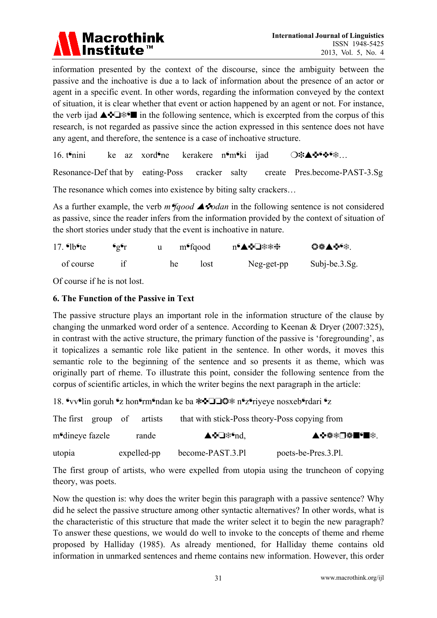

information presented by the context of the discourse, since the ambiguity between the passive and the inchoative is due a to lack of information about the presence of an actor or agent in a specific event. In other words, regarding the information conveyed by the context of situation, it is clear whether that event or action happened by an agent or not. For instance, the verb ijad  $\triangle \blacktriangle \Box$  in the following sentence, which is excerpted from the corpus of this research, is not regarded as passive since the action expressed in this sentence does not have any agent, and therefore, the sentence is a case of inchoative structure.

16. toini ke az xordone kerakere nombranijad  $\bigcirc$ \*A $\blacktriangle$ 

Resonance-Def that by eating-Poss cracker salty create Pres.become-PAST-3.Sg

The resonance which comes into existence by biting salty crackers…

As a further example, the verb  $m \nvert q \circ q$   $\blacktriangle$   $\blacktriangle$   $\blacktriangle$   $\blacktriangle$   $\blacktriangle$   $\blacktriangle$   $\blacktriangle$   $\blacktriangle$   $\blacktriangle$   $\blacktriangle$   $\blacktriangle$   $\blacktriangle$   $\blacktriangle$   $\blacktriangle$   $\blacktriangle$   $\blacktriangle$   $\blacktriangle$   $\blacktriangle$   $\blacktriangle$   $\blacktriangle$   $\blacktriangle$   $\blacktriangle$   $\blacktriangle$   $\blacktriangle$   $\blacktriangle$   $\blacktriangle$   $\blacktriangle$   $\blacktriangle$   $\blacktriangle$   $\blacktriangle$ as passive, since the reader infers from the information provided by the context of situation of the short stories under study that the event is inchoative in nature.

| 17. $(b$ <sup><math>\epsilon</math></sup> te | $\bullet_{\Omega}\bullet_{\Gamma}$ |    | m•fgood | n•▲◆□衆衆※   | <b>◎◎△⊹</b> •* |  |
|----------------------------------------------|------------------------------------|----|---------|------------|----------------|--|
| of course                                    |                                    | he | lost    | Neg-get-pp | Subj-be.3.Sg.  |  |

Of course if he is not lost.

## **6. The Function of the Passive in Text**

The passive structure plays an important role in the information structure of the clause by changing the unmarked word order of a sentence. According to Keenan & Dryer (2007:325), in contrast with the active structure, the primary function of the passive is 'foregrounding', as it topicalizes a semantic role like patient in the sentence. In other words, it moves this semantic role to the beginning of the sentence and so presents it as theme, which was originally part of rheme. To illustrate this point, consider the following sentence from the corpus of scientific articles, in which the writer begins the next paragraph in the article:

18.  $\bullet$ vv $\bullet$ lin goruh  $\bullet$ z hon $\bullet$ rm $\bullet$ ndan ke ba  $\ast$  $\Box$  $\Box \circ \ast$  n $\bullet$ z $\bullet$ riyeye nosxeb $\bullet$ rdari  $\bullet$ z

| The first group of           |             | artists | that with stick-Poss theory-Poss copying from |  |                     |                |
|------------------------------|-------------|---------|-----------------------------------------------|--|---------------------|----------------|
| m <sup>o</sup> dineye fazele | rande       |         | $\blacktriangle \blacktriangle \Box \text{$   |  |                     | <b>▲╋₩⋚₩⋚₩</b> |
| utopia                       | expelled-pp |         | become-PAST.3.Pl                              |  | poets-be-Pres.3.Pl. |                |

The first group of artists, who were expelled from utopia using the truncheon of copying theory, was poets.

Now the question is: why does the writer begin this paragraph with a passive sentence? Why did he select the passive structure among other syntactic alternatives? In other words, what is the characteristic of this structure that made the writer select it to begin the new paragraph? To answer these questions, we would do well to invoke to the concepts of theme and rheme proposed by Halliday (1985). As already mentioned, for Halliday theme contains old information in unmarked sentences and rheme contains new information. However, this order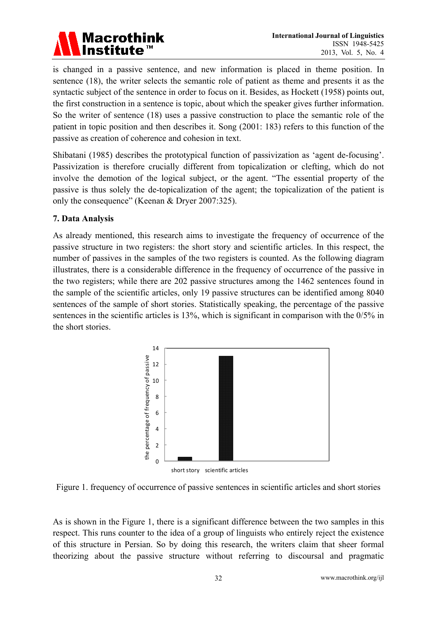

is changed in a passive sentence, and new information is placed in theme position. In sentence (18), the writer selects the semantic role of patient as theme and presents it as the syntactic subject of the sentence in order to focus on it. Besides, as Hockett (1958) points out, the first construction in a sentence is topic, about which the speaker gives further information. So the writer of sentence (18) uses a passive construction to place the semantic role of the patient in topic position and then describes it. Song (2001: 183) refers to this function of the passive as creation of coherence and cohesion in text.

Shibatani (1985) describes the prototypical function of passivization as 'agent de-focusing'. Passivization is therefore crucially different from topicalization or clefting, which do not involve the demotion of the logical subject, or the agent. "The essential property of the passive is thus solely the de-topicalization of the agent; the topicalization of the patient is only the consequence" (Keenan & Dryer 2007:325).

## **7. Data Analysis**

As already mentioned, this research aims to investigate the frequency of occurrence of the passive structure in two registers: the short story and scientific articles. In this respect, the number of passives in the samples of the two registers is counted. As the following diagram illustrates, there is a considerable difference in the frequency of occurrence of the passive in the two registers; while there are 202 passive structures among the 1462 sentences found in the sample of the scientific articles, only 19 passive structures can be identified among 8040 sentences of the sample of short stories. Statistically speaking, the percentage of the passive sentences in the scientific articles is 13%, which is significant in comparison with the 0/5% in the short stories.



Figure 1. frequency of occurrence of passive sentences in scientific articles and short stories

As is shown in the Figure 1, there is a significant difference between the two samples in this respect. This runs counter to the idea of a group of linguists who entirely reject the existence of this structure in Persian. So by doing this research, the writers claim that sheer formal theorizing about the passive structure without referring to discoursal and pragmatic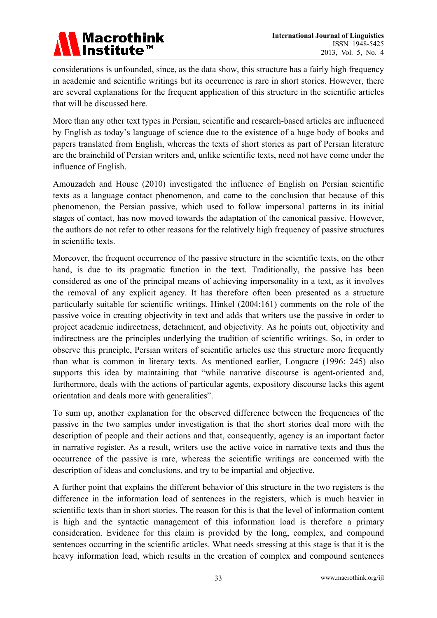

considerations is unfounded, since, as the data show, this structure has a fairly high frequency in academic and scientific writings but its occurrence is rare in short stories. However, there are several explanations for the frequent application of this structure in the scientific articles that will be discussed here.

More than any other text types in Persian, scientific and research-based articles are influenced by English as today's language of science due to the existence of a huge body of books and papers translated from English, whereas the texts of short stories as part of Persian literature are the brainchild of Persian writers and, unlike scientific texts, need not have come under the influence of English.

Amouzadeh and House (2010) investigated the influence of English on Persian scientific texts as a language contact phenomenon, and came to the conclusion that because of this phenomenon, the Persian passive, which used to follow impersonal patterns in its initial stages of contact, has now moved towards the adaptation of the canonical passive. However, the authors do not refer to other reasons for the relatively high frequency of passive structures in scientific texts.

Moreover, the frequent occurrence of the passive structure in the scientific texts, on the other hand, is due to its pragmatic function in the text. Traditionally, the passive has been considered as one of the principal means of achieving impersonality in a text, as it involves the removal of any explicit agency. It has therefore often been presented as a structure particularly suitable for scientific writings. Hinkel (2004:161) comments on the role of the passive voice in creating objectivity in text and adds that writers use the passive in order to project academic indirectness, detachment, and objectivity. As he points out, objectivity and indirectness are the principles underlying the tradition of scientific writings. So, in order to observe this principle, Persian writers of scientific articles use this structure more frequently than what is common in literary texts. As mentioned earlier, Longacre (1996: 245) also supports this idea by maintaining that "while narrative discourse is agent-oriented and, furthermore, deals with the actions of particular agents, expository discourse lacks this agent orientation and deals more with generalities".

To sum up, another explanation for the observed difference between the frequencies of the passive in the two samples under investigation is that the short stories deal more with the description of people and their actions and that, consequently, agency is an important factor in narrative register. As a result, writers use the active voice in narrative texts and thus the occurrence of the passive is rare, whereas the scientific writings are concerned with the description of ideas and conclusions, and try to be impartial and objective.

A further point that explains the different behavior of this structure in the two registers is the difference in the information load of sentences in the registers, which is much heavier in scientific texts than in short stories. The reason for this is that the level of information content is high and the syntactic management of this information load is therefore a primary consideration. Evidence for this claim is provided by the long, complex, and compound sentences occurring in the scientific articles. What needs stressing at this stage is that it is the heavy information load, which results in the creation of complex and compound sentences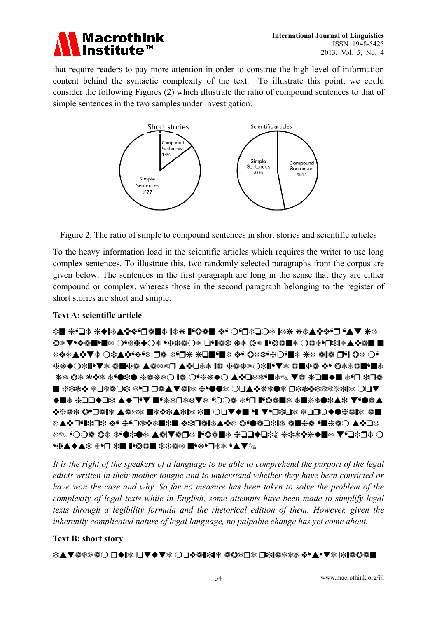

that require readers to pay more attention in order to construe the high level of information content behind the syntactic complexity of the text. To illustrate this point, we could consider the following Figures (2) which illustrate the ratio of compound sentences to that of simple sentences in the two samples under investigation.



Figure 2. The ratio of simple to compound sentences in short stories and scientific articles

To the heavy information load in the scientific articles which requires the writer to use long complex sentences. To illustrate this, two randomly selected paragraphs from the corpus are given below. The sentences in the first paragraph are long in the sense that they are either compound or complex, whereas those in the second paragraph belonging to the register of short stories are short and simple.

#### **Text A: scientific article**

**ُક■ ※\*□※ ※◆|※▲☆◆\*□●■※ |※※ |•◎●■ ◆• ○\*□※□○※ |※※ ※※▲☆◆\*□ •▲▼ ※※ ◎※▼•❖●■•■※ ○•※※◆○※ •※米●○※ □•■◎\* 米※ ◎※ ■•◎●■※ ○◎※•□\*|※▲◆◎■ ■** ☀❖☀▲❖▼☀ ○☆▲❖◆◆◈ □● ☀●□米 米□■●■※ ❖● ◎☀※●※○●■※ 米☀ ●|● □● ◎☀ ○● ※※◆○宋Ⅱ•▼※ ※■※※ ▲※※※□ ▲◆□※※Ⅰ※ ※※※○宋Ⅱ•▼※ ※■※※ ◇• ◎※※※■•■※ **\*\* 0\* \*\*\* \*\*●\*● \*\*\*\*○ |● ○•\*\*◆○ ▲•□\*\*\*■\*◎ ▼● \*□■◆■ \*\*□ \*□●** ■ ※\*\*← ※□※●○\* ※●□ □●▲▼●|※ ※•●●※ ○□▲←\*※●※ □\*\*←\*※※\*\*\*|※ ○□▼ ◆■※ ※□□◆□\* ▲◆□◆▼ ■•米※□※※▼※ •○○● ※•□ ■•◎●■※ ※■米※●\*▲\* ▼•●●▲ +\*\*\* 0^∏\\* ▲\*\*\* ■\*\*\*▲\*I\* \*■ OO▼◆■ \*I ▼\*\*D\* \*DO◆●\*\*!\* |※■ ☀▲◆□●◎□☆ ◆● ※●○☆◆※■☆■ ◆☆□●◎☆▲◆※ ◎●●◎□☆Ⅳ ●■※● ●■※●○ ▲◆□※ ☀◎ •○○● ◎☀ ※•●☆●☀ ▲●▼●□☀ ■•◎●■☀ ※□□◆□☆》 ※☆\*●\*◆■☀ ▼●□☆□※ ○ **G\*A◆A \* \*GT \*■ F\*© ■ \*\*\*\* ■ F\*GT \*\* 6A ▼ S** 

*It is the right of the speakers of a language to be able to comprehend the purport of the legal edicts written in their mother tongue and to understand whether they have been convicted or have won the case and why. So far no measure has been taken to solve the problem of the complexity of legal texts while in English, some attempts have been made to simplify legal texts through a legibility formula and the rhetorical edition of them. However, given the inherently complicated nature of legal language, no palpable change has yet come about.* 

#### **Text B: short story**

**\*▲▼●※※●○ □◆|※ |□▼◆▼※ ○□◆●||☆|※ ●◎※□※ □☆|●※※※ ◆・▲・▼ ☆| ☆|●◎●■**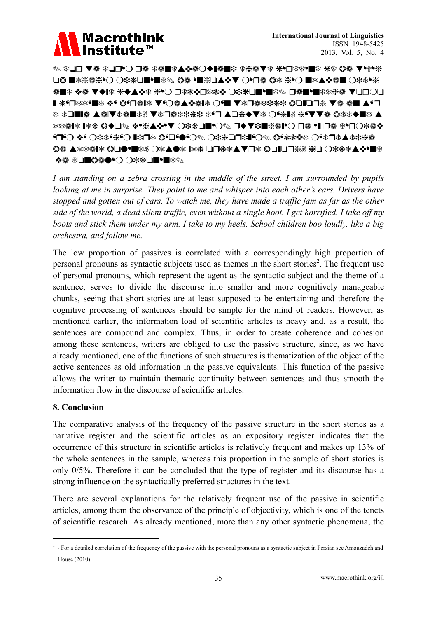

 **□◎ ■※米●※●○ ○\*\*□■●■※◎ ◎● ●■米□▲◆▼ ○●□● ◎※ ※●○ ■※▲◆◎■ ○\*※●※** ◎■※ ❖● ▼◆Ⅰ※ 米◆▲◆※ ※•○ □※\*◆□※\*◆ ○\*\*□■●■※◎ □●■●■※※※● ▼□□○□ **☀ ☀❏■|● ▲●|▼☀●■☀◎ ▼☀□●☀÷米∻ ☀•□ ▲□米◆▼☀ ○•☀■◎ ☀•▼▼● ◎☀☆◆■☀ ▲** ☀☀❀|☀ |☀☀ ◎◆□◎ ❖•⋇▲∻•▼ ○☆⋇□■•○◎ □◆▼☆■※❀|•○ □● ● ■ □● ※•□○☆◎◆ **'□'○ ❖' ○ホ\*\*\*∀○ Iホ□\* ◎'□'●'○© ○ホ\*□□ホI'○◎ ◎'\*\*→\* ○'\*□\*▲\*\*\*\*◎ ◎● ▲※※●|※ ◎□●◆■※》 ○※▲●※ |※米 □□米※▲▼□☆ ◎□■□□米》※□ ○※米※▲÷◆■※** ❖● ※□■◎●●●○ ○☆\*□■●■※◎

*I am standing on a zebra crossing in the middle of the street. I am surrounded by pupils looking at me in surprise. They point to me and whisper into each other's ears. Drivers have stopped and gotten out of cars. To watch me, they have made a traffic jam as far as the other side of the world, a dead silent traffic, even without a single hoot. I get horrified. I take off my boots and stick them under my arm. I take to my heels. School children boo loudly, like a big orchestra, and follow me.* 

The low proportion of passives is correlated with a correspondingly high proportion of personal pronouns as syntactic subjects used as themes in the short stories<sup>2</sup>. The frequent use of personal pronouns, which represent the agent as the syntactic subject and the theme of a sentence, serves to divide the discourse into smaller and more cognitively manageable chunks, seeing that short stories are at least supposed to be entertaining and therefore the cognitive processing of sentences should be simple for the mind of readers. However, as mentioned earlier, the information load of scientific articles is heavy and, as a result, the sentences are compound and complex. Thus, in order to create coherence and cohesion among these sentences, writers are obliged to use the passive structure, since, as we have already mentioned, one of the functions of such structures is thematization of the object of the active sentences as old information in the passive equivalents. This function of the passive allows the writer to maintain thematic continuity between sentences and thus smooth the information flow in the discourse of scientific articles.

#### **8. Conclusion**

<u>.</u>

The comparative analysis of the frequency of the passive structure in the short stories as a narrative register and the scientific articles as an expository register indicates that the occurrence of this structure in scientific articles is relatively frequent and makes up 13% of the whole sentences in the sample, whereas this proportion in the sample of short stories is only 0/5%. Therefore it can be concluded that the type of register and its discourse has a strong influence on the syntactically preferred structures in the text.

There are several explanations for the relatively frequent use of the passive in scientific articles, among them the observance of the principle of objectivity, which is one of the tenets of scientific research. As already mentioned, more than any other syntactic phenomena, the

 $2$ - For a detailed correlation of the frequency of the passive with the personal pronouns as a syntactic subject in Persian see Amouzadeh and House (2010)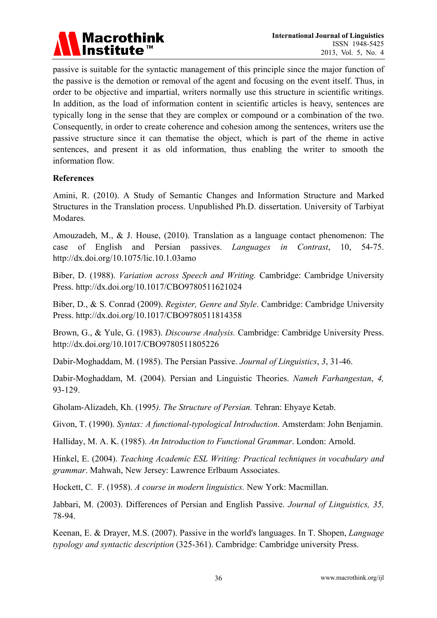

passive is suitable for the syntactic management of this principle since the major function of the passive is the demotion or removal of the agent and focusing on the event itself. Thus, in order to be objective and impartial, writers normally use this structure in scientific writings. In addition, as the load of information content in scientific articles is heavy, sentences are typically long in the sense that they are complex or compound or a combination of the two. Consequently, in order to create coherence and cohesion among the sentences, writers use the passive structure since it can thematise the object, which is part of the rheme in active sentences, and present it as old information, thus enabling the writer to smooth the information flow.

#### **References**

Amini, R. (2010). A Study of Semantic Changes and Information Structure and Marked Structures in the Translation process. Unpublished Ph.D. dissertation. University of Tarbiyat Modares*.*

Amouzadeh, M., & J. House, (2010). Translation as a language contact phenomenon: The case of English and Persian passives. *Languages in Contrast*, 10, 54-75. http://dx.doi.org/10.1075/lic.10.1.03amo

Biber, D. (1988). *Variation across Speech and Writing.* Cambridge: Cambridge University Press. http://dx.doi.org/10.1017/CBO9780511621024

Biber, D., & S. Conrad (2009). *Register, Genre and Style*. Cambridge: Cambridge University Press. http://dx.doi.org/10.1017/CBO9780511814358

Brown, G., & Yule, G. (1983). *Discourse Analysis.* Cambridge: Cambridge University Press. http://dx.doi.org/10.1017/CBO9780511805226

Dabir-Moghaddam, M. (1985). The Persian Passive. *Journal of Linguistics*, *3*, 31-46.

Dabir-Moghaddam, M. (2004). Persian and Linguistic Theories. *Nameh Farhangestan*, *4,*  93-129.

Gholam-Alizadeh, Kh. (1995*). The Structure of Persian.* Tehran: Ehyaye Ketab.

Givon, T. (1990). *Syntax: A functional-typological Introduction*. Amsterdam: John Benjamin.

Halliday, M. A. K. (1985). *An Introduction to Functional Grammar*. London: Arnold.

Hinkel, E. (2004). *Teaching Academic ESL Writing: Practical techniques in vocabulary and grammar*. Mahwah, New Jersey: Lawrence Erlbaum Associates.

Hockett, C. F. (1958). *A course in modern linguistics.* New York: Macmillan.

Jabbari, M. (2003). Differences of Persian and English Passive. *Journal of Linguistics, 35,*  78-94.

Keenan, E. & Drayer, M.S. (2007). Passive in the world's languages. In T. Shopen, *Language typology and syntactic description* (325-361). Cambridge: Cambridge university Press.